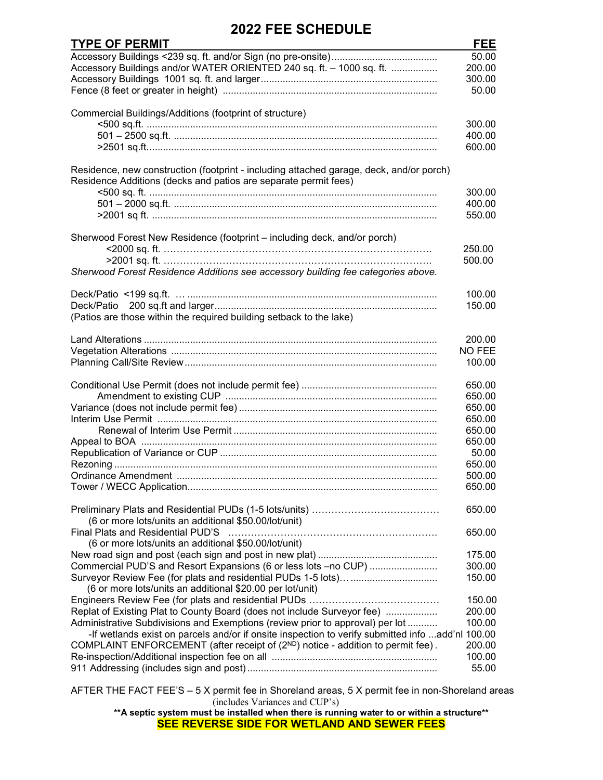## **2022 FEE SCHEDULE**

| <b>TYPE OF PERMIT</b>                                                                            | <b>FEE</b>    |
|--------------------------------------------------------------------------------------------------|---------------|
|                                                                                                  | 50.00         |
| Accessory Buildings and/or WATER ORIENTED 240 sq. ft. - 1000 sq. ft.                             | 200.00        |
|                                                                                                  | 300.00        |
|                                                                                                  | 50.00         |
|                                                                                                  |               |
| Commercial Buildings/Additions (footprint of structure)                                          |               |
|                                                                                                  | 300.00        |
|                                                                                                  | 400.00        |
|                                                                                                  | 600.00        |
|                                                                                                  |               |
| Residence, new construction (footprint - including attached garage, deck, and/or porch)          |               |
| Residence Additions (decks and patios are separate permit fees)                                  |               |
|                                                                                                  | 300.00        |
|                                                                                                  | 400.00        |
|                                                                                                  | 550.00        |
|                                                                                                  |               |
| Sherwood Forest New Residence (footprint - including deck, and/or porch)                         |               |
|                                                                                                  | 250.00        |
|                                                                                                  | 500.00        |
| Sherwood Forest Residence Additions see accessory building fee categories above.                 |               |
|                                                                                                  | 100.00        |
|                                                                                                  | 150.00        |
|                                                                                                  |               |
| (Patios are those within the required building setback to the lake)                              |               |
|                                                                                                  | 200.00        |
|                                                                                                  | <b>NO FEE</b> |
|                                                                                                  | 100.00        |
|                                                                                                  |               |
|                                                                                                  | 650.00        |
|                                                                                                  | 650.00        |
|                                                                                                  | 650.00        |
|                                                                                                  | 650.00        |
|                                                                                                  | 650.00        |
|                                                                                                  | 650.00        |
|                                                                                                  | 50.00         |
|                                                                                                  | 650.00        |
|                                                                                                  | 500.00        |
|                                                                                                  | 650.00        |
|                                                                                                  |               |
|                                                                                                  | 650.00        |
| (6 or more lots/units an additional \$50.00/lot/unit)                                            |               |
| Final Plats and Residential PUD'S                                                                | 650.00        |
| (6 or more lots/units an additional \$50.00/lot/unit)                                            |               |
|                                                                                                  | 175.00        |
| Commercial PUD'S and Resort Expansions (6 or less lots -no CUP)                                  | 300.00        |
|                                                                                                  | 150.00        |
| (6 or more lots/units an additional \$20.00 per lot/unit)                                        |               |
|                                                                                                  | 150.00        |
| Replat of Existing Plat to County Board (does not include Surveyor fee)                          | 200.00        |
| Administrative Subdivisions and Exemptions (review prior to approval) per lot                    | 100.00        |
| -If wetlands exist on parcels and/or if onsite inspection to verify submitted info add'nl 100.00 |               |
| COMPLAINT ENFORCEMENT (after receipt of (2 <sup>ND</sup> ) notice - addition to permit fee).     | 200.00        |
|                                                                                                  | 100.00        |
|                                                                                                  | 55.00         |
|                                                                                                  |               |

AFTER THE FACT FEE'S – 5 X permit fee in Shoreland areas, 5 X permit fee in non-Shoreland areas (includes Variances and CUP's)

**\*\*A septic system must be installed when there is running water to or within a structure\*\* SEE REVERSE SIDE FOR WETLAND AND SEWER FEES**